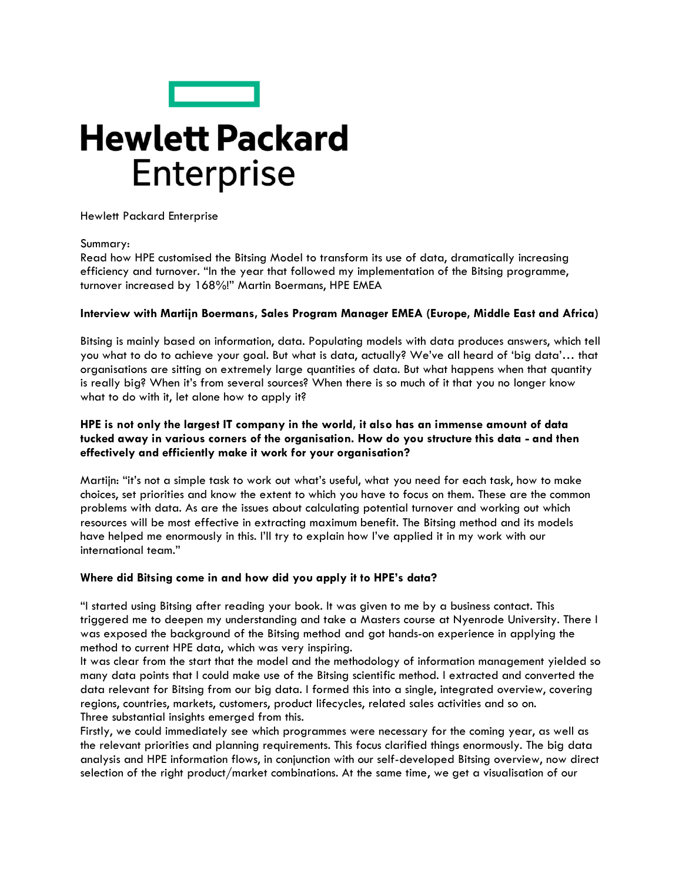

# **Hewlett Packard Enterprise**

Hewlett Packard Enterprise

#### Summary:

Read how HPE customised the Bitsing Model to transform its use of data, dramatically increasing efficiency and turnover. "In the year that followed my implementation of the Bitsing programme, turnover increased by 168%!" Martin Boermans, HPE EMEA

## **Interview with Martijn Boermans, Sales Program Manager EMEA (Europe, Middle East and Africa)**

Bitsing is mainly based on information, data. Populating models with data produces answers, which tell you what to do to achieve your goal. But what is data, actually? We've all heard of 'big data'… that organisations are sitting on extremely large quantities of data. But what happens when that quantity is really big? When it's from several sources? When there is so much of it that you no longer know what to do with it, let alone how to apply it?

# **HPE is not only the largest IT company in the world, it also has an immense amount of data tucked away in various corners of the organisation. How do you structure this data - and then effectively and efficiently make it work for your organisation?**

Martijn: "it's not a simple task to work out what's useful, what you need for each task, how to make choices, set priorities and know the extent to which you have to focus on them. These are the common problems with data. As are the issues about calculating potential turnover and working out which resources will be most effective in extracting maximum benefit. The Bitsing method and its models have helped me enormously in this. I'll try to explain how I've applied it in my work with our international team."

## **Where did Bitsing come in and how did you apply it to HPE's data?**

"I started using Bitsing after reading your book. It was given to me by a business contact. This triggered me to deepen my understanding and take a Masters course at Nyenrode University. There I was exposed the background of the Bitsing method and got hands-on experience in applying the method to current HPE data, which was very inspiring.

It was clear from the start that the model and the methodology of information management yielded so many data points that I could make use of the Bitsing scientific method. I extracted and converted the data relevant for Bitsing from our big data. I formed this into a single, integrated overview, covering regions, countries, markets, customers, product lifecycles, related sales activities and so on. Three substantial insights emerged from this.

Firstly, we could immediately see which programmes were necessary for the coming year, as well as the relevant priorities and planning requirements. This focus clarified things enormously. The big data analysis and HPE information flows, in conjunction with our self-developed Bitsing overview, now direct selection of the right product/market combinations. At the same time, we get a visualisation of our